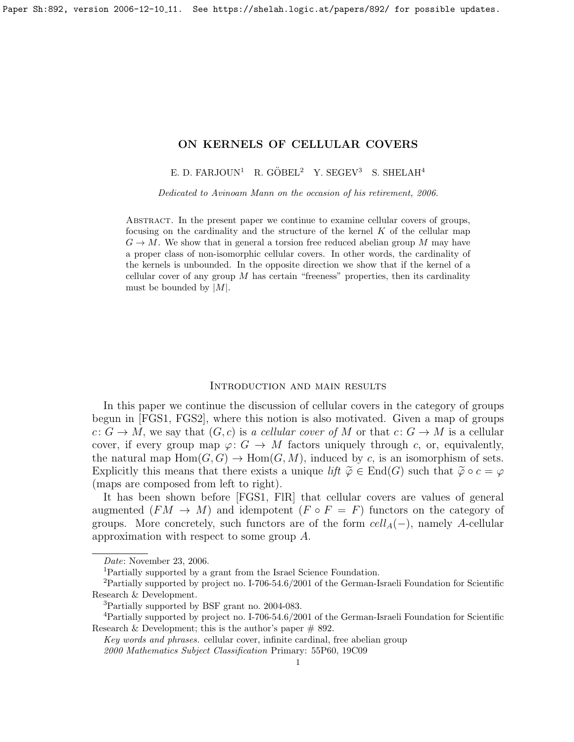# <span id="page-0-0"></span>ON KERNELS OF CELLULAR COVERS

E. D. FARJOUN<sup>1</sup> R. GÖBEL<sup>2</sup> Y. SEGEV<sup>3</sup> S. SHELAH<sup>4</sup>

Dedicated to Avinoam Mann on the occasion of his retirement, 2006.

Abstract. In the present paper we continue to examine cellular covers of groups, focusing on the cardinality and the structure of the kernel  $K$  of the cellular map  $G \to M$ . We show that in general a torsion free reduced abelian group M may have a proper class of non-isomorphic cellular covers. In other words, the cardinality of the kernels is unbounded. In the opposite direction we show that if the kernel of a cellular cover of any group  $M$  has certain "freeness" properties, then its cardinality must be bounded by  $|M|$ .

## Introduction and main results

In this paper we continue the discussion of cellular covers in the category of groups begun in [\[FGS1,](#page-8-0) [FGS2\]](#page-8-1), where this notion is also motivated. Given a map of groups  $c: G \to M$ , we say that  $(G, c)$  is a cellular cover of M or that  $c: G \to M$  is a cellular cover, if every group map  $\varphi: G \to M$  factors uniquely through c, or, equivalently, the natural map  $Hom(G, G) \to Hom(G, M)$ , induced by c, is an isomorphism of sets. Explicitly this means that there exists a unique lift  $\tilde{\varphi} \in \text{End}(G)$  such that  $\tilde{\varphi} \circ c = \varphi$ (maps are composed from left to right).

It has been shown before [\[FGS1,](#page-8-0) [FlR\]](#page-8-2) that cellular covers are values of general augmented  $(FM \to M)$  and idempotent  $(F \circ F = F)$  functors on the category of groups. More concretely, such functors are of the form  $cell_A(-)$ , namely A-cellular approximation with respect to some group A.

Date: November 23, 2006.

<sup>1</sup>Partially supported by a grant from the Israel Science Foundation.

<sup>&</sup>lt;sup>2</sup>Partially supported by project no. I-706-54.6/2001 of the German-Israeli Foundation for Scientific Research & Development.

<sup>3</sup>Partially supported by BSF grant no. 2004-083.

<sup>4</sup>Partially supported by project no. I-706-54.6/2001 of the German-Israeli Foundation for Scientific Research & Development; this is the author's paper  $\#$  892.

Key words and phrases. cellular cover, infinite cardinal, free abelian group

<sup>2000</sup> Mathematics Subject Classification Primary: 55P60, 19C09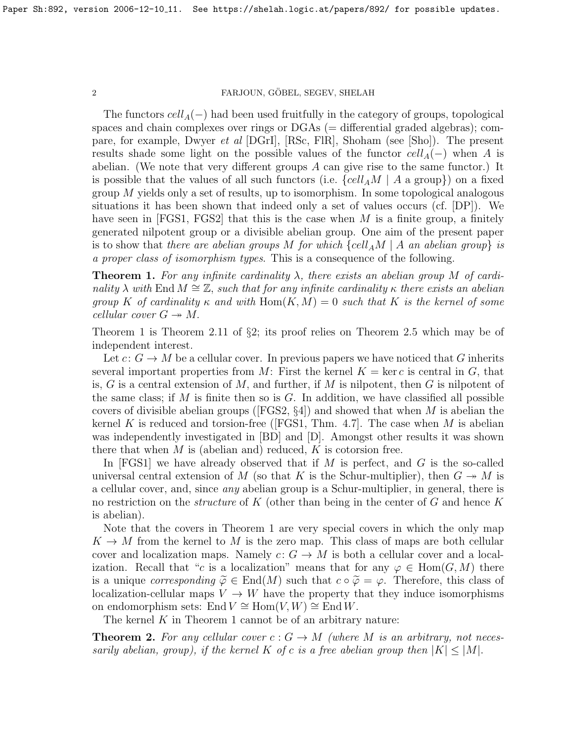The functors  $cell_A(-)$  had been used fruitfully in the category of groups, topological spaces and chain complexes over rings or  $DGAs (= differential graded algebras);$  compare, for example, Dwyer et al [\[DGrI\]](#page-8-3), [\[RSc,](#page-8-4) [FlR\]](#page-8-2), Shoham (see [\[Sho\]](#page-9-0)). The present results shade some light on the possible values of the functor  $cell_A(-)$  when A is abelian. (We note that very different groups  $A$  can give rise to the same functor.) It is possible that the values of all such functors (i.e.  $\{cell_A M \mid A \text{ a group}\})$  on a fixed group  $M$  yields only a set of results, up to isomorphism. In some topological analogous situations it has been shown that indeed only a set of values occurs (cf. [\[DP\]](#page-8-5)). We have seen in  $[FGS1, FGS2]$  $[FGS1, FGS2]$  that this is the case when M is a finite group, a finitely generated nilpotent group or a divisible abelian group. One aim of the present paper is to show that there are abelian groups M for which  $\{cell_A M \mid A \text{ an abelian group} \}$  is a proper class of isomorphism types. This is a consequence of the following.

**Theorem 1.** For any infinite cardinality  $\lambda$ , there exists an abelian group M of cardinality  $\lambda$  with End  $M \cong \mathbb{Z}$ , such that for any infinite cardinality  $\kappa$  there exists an abelian group K of cardinality  $\kappa$  and with  $\text{Hom}(K, M) = 0$  such that K is the kernel of some cellular cover  $G \rightarrow M$ .

Theorem 1 is Theorem [2.11](#page-8-6) of §2; its proof relies on Theorem [2.5](#page-4-0) which may be of independent interest.

Let  $c: G \to M$  be a cellular cover. In previous papers we have noticed that G inherits several important properties from M: First the kernel  $K = \text{ker } c$  is central in G, that is, G is a central extension of M, and further, if M is nilpotent, then G is nilpotent of the same class; if M is finite then so is  $G$ . In addition, we have classified all possible covers of divisible abelian groups ( $[FGS2, \S4]$  $[FGS2, \S4]$ ) and showed that when M is abelian the kernel K is reduced and torsion-free ([\[FGS1,](#page-8-0) Thm. 4.7]. The case when M is abelian was independently investigated in [\[BD\]](#page-8-7) and [\[D\]](#page-8-8). Amongst other results it was shown there that when  $M$  is (abelian and) reduced,  $K$  is cotorsion free.

In  $[FGS1]$  we have already observed that if M is perfect, and G is the so-called universal central extension of M (so that K is the Schur-multiplier), then  $G \rightarrow M$  is a cellular cover, and, since any abelian group is a Schur-multiplier, in general, there is no restriction on the *structure* of K (other than being in the center of G and hence K is abelian).

Note that the covers in Theorem 1 are very special covers in which the only map  $K \to M$  from the kernel to M is the zero map. This class of maps are both cellular cover and localization maps. Namely  $c: G \to M$  is both a cellular cover and a localization. Recall that "c is a localization" means that for any  $\varphi \in \text{Hom}(G, M)$  there is a unique *corresponding*  $\tilde{\varphi} \in \text{End}(M)$  such that  $c \circ \tilde{\varphi} = \varphi$ . Therefore, this class of localization-cellular maps  $V \to W$  have the property that they induce isomorphisms on endomorphism sets: End  $V \cong Hom(V, W) \cong End W$ .

The kernel  $K$  in Theorem 1 cannot be of an arbitrary nature:

**Theorem 2.** For any cellular cover  $c : G \to M$  (where M is an arbitrary, not necessarily abelian, group), if the kernel K of c is a free abelian group then  $|K| \leq |M|$ .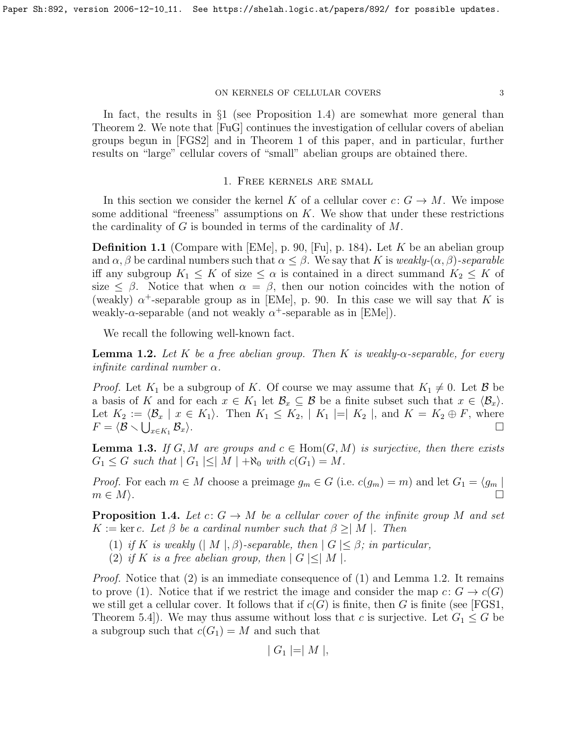#### ON KERNELS OF CELLULAR COVERS  $3\,$

In fact, the results in §1 (see Proposition [1.4\)](#page-2-0) are somewhat more general than Theorem 2. We note that [\[FuG\]](#page-8-9) continues the investigation of cellular covers of abelian groups begun in [\[FGS2\]](#page-8-1) and in Theorem 1 of this paper, and in particular, further results on "large" cellular covers of "small" abelian groups are obtained there.

## 1. Free kernels are small

In this section we consider the kernel K of a cellular cover  $c: G \to M$ . We impose some additional "freeness" assumptions on  $K$ . We show that under these restrictions the cardinality of G is bounded in terms of the cardinality of M.

**Definition 1.1** (Compare with [\[EMe\]](#page-8-10), p. 90, [\[Fu\]](#page-8-11), p. 184). Let K be an abelian group and  $\alpha, \beta$  be cardinal numbers such that  $\alpha \leq \beta$ . We say that K is weakly- $(\alpha, \beta)$ -separable iff any subgroup  $K_1 \leq K$  of size  $\leq \alpha$  is contained in a direct summand  $K_2 \leq K$  of size  $\leq \beta$ . Notice that when  $\alpha = \beta$ , then our notion coincides with the notion of (weakly)  $\alpha^+$ -separable group as in [\[EMe\]](#page-8-10), p. 90. In this case we will say that K is weakly- $\alpha$ -separable (and not weakly  $\alpha^+$ -separable as in [\[EMe\]](#page-8-10)).

We recall the following well-known fact.

<span id="page-2-1"></span>**Lemma 1.2.** Let K be a free abelian group. Then K is weakly- $\alpha$ -separable, for every infinite cardinal number  $\alpha$ .

*Proof.* Let  $K_1$  be a subgroup of K. Of course we may assume that  $K_1 \neq 0$ . Let  $\mathcal{B}$  be a basis of K and for each  $x \in K_1$  let  $\mathcal{B}_x \subseteq \mathcal{B}$  be a finite subset such that  $x \in \langle \mathcal{B}_x \rangle$ . Let  $K_2 := \langle \mathcal{B}_x | x \in K_1 \rangle$ . Then  $K_1 \leq K_2, | K_1 | = | K_2 |$ , and  $K = K_2 \oplus F$ , where  $F = \langle \mathcal{B} \smallsetminus \bigcup_{x \in K_1} \,$  $\langle \mathcal{B}_x \rangle$ .

<span id="page-2-2"></span>**Lemma 1.3.** If G, M are groups and  $c \in Hom(G, M)$  is surjective, then there exists  $G_1 \leq G$  such that  $|G_1| \leq |M| + \aleph_0$  with  $c(G_1) = M$ .

*Proof.* For each  $m \in M$  choose a preimage  $g_m \in G$  (i.e.  $c(g_m) = m$ ) and let  $G_1 = \langle g_m |$  $m \in M$ ).

<span id="page-2-0"></span>**Proposition 1.4.** Let  $c: G \to M$  be a cellular cover of the infinite group M and set  $K := \ker c$ . Let  $\beta$  be a cardinal number such that  $\beta \geq |M|$ . Then

- (1) if K is weakly  $(|M|, \beta)$ -separable, then  $|G| \leq \beta$ ; in particular,
- (2) if K is a free abelian group, then  $|G| \leq |M|$ .

*Proof.* Notice that  $(2)$  is an immediate consequence of  $(1)$  and Lemma [1.2.](#page-2-1) It remains to prove (1). Notice that if we restrict the image and consider the map  $c: G \to c(G)$ we still get a cellular cover. It follows that if  $c(G)$  is finite, then G is finite (see [\[FGS1,](#page-8-0) Theorem 5.4.). We may thus assume without loss that c is surjective. Let  $G_1 \leq G$  be a subgroup such that  $c(G_1) = M$  and such that

$$
|G_1| = |M|,
$$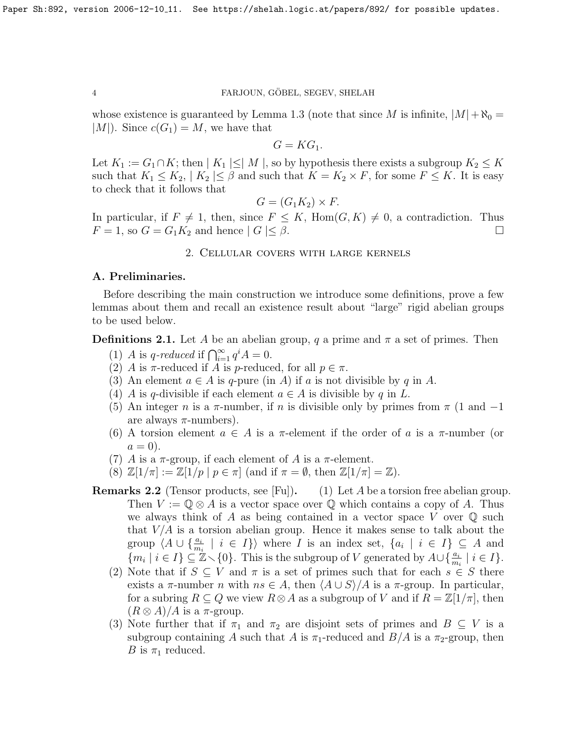whose existence is guaranteed by Lemma [1.3](#page-2-2) (note that since M is infinite,  $|M| + \aleph_0 =$  $|M|$ ). Since  $c(G_1) = M$ , we have that

 $G = KG_1.$ 

Let  $K_1 := G_1 \cap K$ ; then  $|K_1| \leq |M|$ , so by hypothesis there exists a subgroup  $K_2 \leq K$ such that  $K_1 \leq K_2$ ,  $|K_2| \leq \beta$  and such that  $K = K_2 \times F$ , for some  $F \leq K$ . It is easy to check that it follows that

$$
G = (G_1 K_2) \times F.
$$

In particular, if  $F \neq 1$ , then, since  $F \leq K$ , Hom $(G, K) \neq 0$ , a contradiction. Thus  $F = 1$ , so  $G = G_1 K_2$  and hence  $|G| \leq \beta$ .

# 2. Cellular covers with large kernels

## A. Preliminaries.

Before describing the main construction we introduce some definitions, prove a few lemmas about them and recall an existence result about "large" rigid abelian groups to be used below.

**Definitions 2.1.** Let A be an abelian group, q a prime and  $\pi$  a set of primes. Then

- (1) A is q-reduced if  $\bigcap_{i=1}^{\infty} q^{i} A = 0$ .
- (2) A is  $\pi$ -reduced if A is p-reduced, for all  $p \in \pi$ .
- (3) An element  $a \in A$  is q-pure (in A) if a is not divisible by q in A.
- (4) A is q-divisible if each element  $a \in A$  is divisible by q in L.
- (5) An integer n is a  $\pi$ -number, if n is divisible only by primes from  $\pi$  (1 and -1) are always  $\pi$ -numbers).
- (6) A torsion element  $a \in A$  is a  $\pi$ -element if the order of a is a  $\pi$ -number (or  $a=0$ ).
- (7) A is a  $\pi$ -group, if each element of A is a  $\pi$ -element.
- (8)  $\mathbb{Z}[1/\pi] := \mathbb{Z}[1/p | p \in \pi]$  (and if  $\pi = \emptyset$ , then  $\mathbb{Z}[1/\pi] = \mathbb{Z}$ ).
- **Remarks 2.2** (Tensor products, see [\[Fu\]](#page-8-11)). (1) Let A be a torsion free abelian group. Then  $V := \mathbb{Q} \otimes A$  is a vector space over  $\mathbb Q$  which contains a copy of A. Thus we always think of A as being contained in a vector space V over  $\mathbb Q$  such that  $V/A$  is a torsion abelian group. Hence it makes sense to talk about the group  $\langle A \cup \{\frac{a_i}{m_i} \mid i \in I\} \rangle$  where I is an index set,  $\{a_i \mid i \in I\} \subseteq A$  and  $\{m_i \mid i \in I\} \subseteq \mathbb{Z} \setminus \{0\}.$  This is the subgroup of V generated by  $A \cup \{\frac{a_i}{m_i} \mid i \in I\}.$ 
	- (2) Note that if  $S \subseteq V$  and  $\pi$  is a set of primes such that for each  $s \in S$  there exists a  $\pi$ -number n with  $ns \in A$ , then  $\langle A \cup S \rangle / A$  is a  $\pi$ -group. In particular, for a subring  $R \subseteq Q$  we view  $R \otimes A$  as a subgroup of V and if  $R = \mathbb{Z}[1/\pi]$ , then  $(R \otimes A)/A$  is a  $\pi$ -group.
	- (3) Note further that if  $\pi_1$  and  $\pi_2$  are disjoint sets of primes and  $B \subseteq V$  is a subgroup containing A such that A is  $\pi_1$ -reduced and  $B/A$  is a  $\pi_2$ -group, then B is  $\pi_1$  reduced.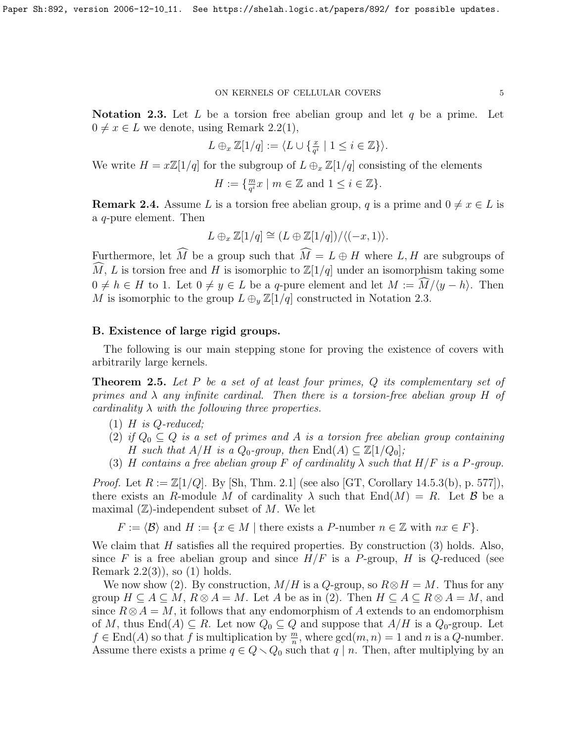#### ON KERNELS OF CELLULAR COVERS  $\,$  5  $\,$

<span id="page-4-1"></span>**Notation 2.3.** Let L be a torsion free abelian group and let q be a prime. Let  $0 \neq x \in L$  we denote, using Remark [2.2\(](#page-0-0)1),

$$
L \oplus_x \mathbb{Z}[1/q] := \langle L \cup \{ \frac{x}{q^i} \mid 1 \le i \in \mathbb{Z} \} \rangle.
$$

We write  $H = x\mathbb{Z}[1/q]$  for the subgroup of  $L \oplus_x \mathbb{Z}[1/q]$  consisting of the elements

$$
H := \{ \frac{m}{q^i} x \mid m \in \mathbb{Z} \text{ and } 1 \le i \in \mathbb{Z} \}.
$$

<span id="page-4-2"></span>**Remark 2.4.** Assume L is a torsion free abelian group, q is a prime and  $0 \neq x \in L$  is a q-pure element. Then

$$
L \oplus_x \mathbb{Z}[1/q] \cong (L \oplus \mathbb{Z}[1/q]) / \langle (-x, 1) \rangle.
$$

Furthermore, let  $\widehat{M}$  be a group such that  $\widehat{M} = L \oplus H$  where L, H are subgroups of  $\widehat{M}$ , L is torsion free and H is isomorphic to  $\mathbb{Z}[1/q]$  under an isomorphism taking some  $0 \neq h \in H$  to 1. Let  $0 \neq y \in L$  be a q-pure element and let  $M := \overline{M}/\langle y - h \rangle$ . Then M is isomorphic to the group  $L \oplus_{y} \mathbb{Z}[1/q]$  constructed in Notation [2.3.](#page-4-1)

# B. Existence of large rigid groups.

The following is our main stepping stone for proving the existence of covers with arbitrarily large kernels.

<span id="page-4-0"></span>**Theorem 2.5.** Let P be a set of at least four primes,  $Q$  its complementary set of primes and  $\lambda$  any infinite cardinal. Then there is a torsion-free abelian group H of cardinality  $\lambda$  with the following three properties.

- $(1)$  H is Q-reduced;
- (2) if  $Q_0 \subseteq Q$  is a set of primes and A is a torsion free abelian group containing H such that  $A/H$  is a  $Q_0$ -group, then  $\text{End}(A) \subseteq \mathbb{Z}[1/Q_0]$ ;
- (3) H contains a free abelian group F of cardinality  $\lambda$  such that  $H/F$  is a P-group.

*Proof.* Let  $R := \mathbb{Z}[1/Q]$ . By [\[Sh,](#page-8-12) Thm. 2.1] (see also [\[GT,](#page-8-13) Corollary 14.5.3(b), p. 577]), there exists an R-module M of cardinality  $\lambda$  such that End(M) = R. Let B be a maximal  $(\mathbb{Z})$ -independent subset of M. We let

 $F := \langle \mathcal{B} \rangle$  and  $H := \{x \in M |$  there exists a P-number  $n \in \mathbb{Z}$  with  $nx \in F\}.$ 

We claim that  $H$  satisfies all the required properties. By construction  $(3)$  holds. Also, since F is a free abelian group and since  $H/F$  is a P-group, H is Q-reduced (see Remark  $2.2(3)$ , so  $(1)$  holds.

We now show (2). By construction,  $M/H$  is a Q-group, so  $R \otimes H = M$ . Thus for any group  $H \subseteq A \subseteq M$ ,  $R \otimes A = M$ . Let A be as in (2). Then  $H \subseteq A \subseteq R \otimes A = M$ , and since  $R \otimes A = M$ , it follows that any endomorphism of A extends to an endomorphism of M, thus  $\text{End}(A) \subseteq R$ . Let now  $Q_0 \subseteq Q$  and suppose that  $A/H$  is a  $Q_0$ -group. Let  $f \in \text{End}(A)$  so that f is multiplication by  $\frac{m}{n}$ , where  $\gcd(m, n) = 1$  and n is a Q-number. Assume there exists a prime  $q \in Q \setminus Q_0$  such that  $q | n$ . Then, after multiplying by an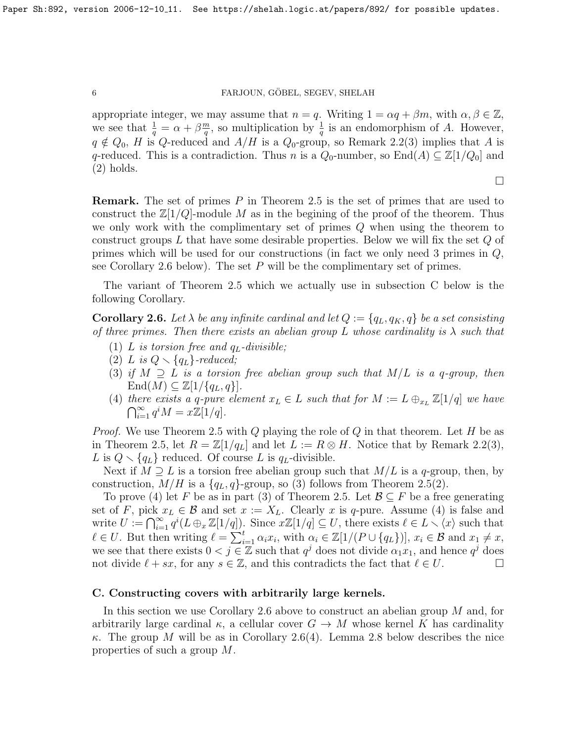appropriate integer, we may assume that  $n = q$ . Writing  $1 = \alpha q + \beta m$ , with  $\alpha, \beta \in \mathbb{Z}$ , we see that  $\frac{1}{q} = \alpha + \beta \frac{m}{q}$  $\frac{n}{q}$ , so multiplication by  $\frac{1}{q}$  is an endomorphism of A. However,  $q \notin Q_0$ , H is Q-reduced and  $A/H$  is a  $Q_0$ -group, so Remark [2.2\(](#page-0-0)3) implies that A is q-reduced. This is a contradiction. Thus n is a  $Q_0$ -number, so  $\text{End}(A) \subseteq \mathbb{Z}[1/Q_0]$  and (2) holds.

 $\Box$ 

**Remark.** The set of primes  $P$  in Theorem [2.5](#page-4-0) is the set of primes that are used to construct the  $\mathbb{Z}[1/Q]$ -module M as in the begining of the proof of the theorem. Thus we only work with the complimentary set of primes Q when using the theorem to construct groups  $L$  that have some desirable properties. Below we will fix the set  $Q$  of primes which will be used for our constructions (in fact we only need 3 primes in  $Q$ , see Corollary [2.6](#page-5-0) below). The set  $P$  will be the complimentary set of primes.

The variant of Theorem [2.5](#page-4-0) which we actually use in subsection C below is the following Corollary.

<span id="page-5-0"></span>**Corollary 2.6.** Let  $\lambda$  be any infinite cardinal and let  $Q := \{q_L, q_K, q\}$  be a set consisting of three primes. Then there exists an abelian group L whose cardinality is  $\lambda$  such that

- (1) L is torsion free and  $q_L$ -divisible;
- (2) L is  $Q \setminus \{q_L\}$ -reduced;
- (3) if  $M \supseteq L$  is a torsion free abelian group such that  $M/L$  is a q-group, then  $\text{End}(M) \subseteq \mathbb{Z}[1/\{q_L, q\}].$
- (4) there exists a q-pure element  $x_L \in L$  such that for  $M := L \bigoplus_{x_L} \mathbb{Z}[1/q]$  we have  $\bigcap_{i=1}^{\infty} q^i M = x \mathbb{Z}[1/q].$

*Proof.* We use Theorem [2.5](#page-4-0) with Q playing the role of  $Q$  in that theorem. Let  $H$  be as in Theorem [2.5,](#page-4-0) let  $R = \mathbb{Z}[1/q_L]$  and let  $L := R \otimes H$ . Notice that by Remark [2.2\(](#page-0-0)3), L is  $Q \setminus \{q_L\}$  reduced. Of course L is  $q_L$ -divisible.

Next if  $M \supseteq L$  is a torsion free abelian group such that  $M/L$  is a q-group, then, by construction,  $M/H$  is a  $\{q_L, q\}$ -group, so (3) follows from Theorem [2.5\(](#page-4-0)2).

To prove (4) let F be as in part (3) of Theorem [2.5.](#page-4-0) Let  $\mathcal{B} \subseteq F$  be a free generating set of F, pick  $x_L \in \mathcal{B}$  and set  $x := X_L$ . Clearly x is q-pure. Assume (4) is false and write  $U := \bigcap_{i=1}^{\infty} q^{i} (L \oplus_x \mathbb{Z}[1/q])$ . Since  $x\mathbb{Z}[1/q] \subseteq U$ , there exists  $\ell \in L \setminus \langle x \rangle$  such that  $\ell \in U$ . But then writing  $\ell = \sum_{i=1}^t \alpha_i x_i$ , with  $\alpha_i \in \mathbb{Z}[1/(P \cup \{q_L\})], x_i \in \mathcal{B}$  and  $x_1 \neq x$ , we see that there exists  $0 < j \in \mathbb{Z}$  such that  $q^j$  does not divide  $\alpha_1 x_1$ , and hence  $q^j$  does not divide  $\ell + sx$ , for any  $s \in \mathbb{Z}$ , and this contradicts the fact that  $\ell \in U$ .

# C. Constructing covers with arbitrarily large kernels.

In this section we use Corollary [2.6](#page-5-0) above to construct an abelian group M and, for arbitrarily large cardinal  $\kappa$ , a cellular cover  $G \to M$  whose kernel K has cardinality κ. The group M will be as in Corollary [2.6\(](#page-5-0)4). Lemma [2.8](#page-6-0) below describes the nice properties of such a group M.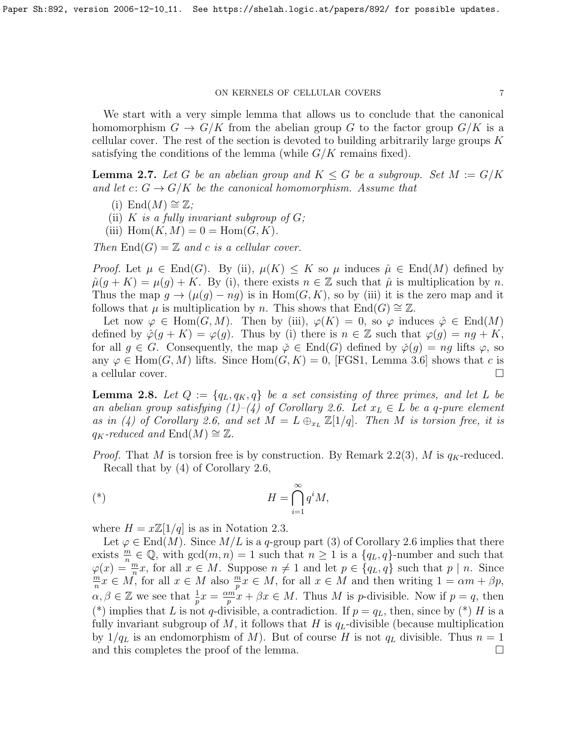#### ON KERNELS OF CELLULAR COVERS  $7$

We start with a very simple lemma that allows us to conclude that the canonical homomorphism  $G \to G/K$  from the abelian group G to the factor group  $G/K$  is a cellular cover. The rest of the section is devoted to building arbitrarily large groups  $K$ satisfying the conditions of the lemma (while  $G/K$  remains fixed).

<span id="page-6-1"></span>**Lemma 2.7.** Let G be an abelian group and  $K \leq G$  be a subgroup. Set  $M := G/K$ and let  $c: G \to G/K$  be the canonical homomorphism. Assume that

- (i) End( $M$ ) ≅  $\mathbb{Z}$ ;
- (ii) K is a fully invariant subgroup of  $G$ ;
- (iii)  $\text{Hom}(K, M) = 0 = \text{Hom}(G, K)$ .

Then  $\text{End}(G) = \mathbb{Z}$  and c is a cellular cover.

Proof. Let  $\mu \in \text{End}(G)$ . By (ii),  $\mu(K) \leq K$  so  $\mu$  induces  $\hat{\mu} \in \text{End}(M)$  defined by  $\hat{\mu}(g + K) = \mu(g) + K$ . By (i), there exists  $n \in \mathbb{Z}$  such that  $\hat{\mu}$  is multiplication by n. Thus the map  $g \to (\mu(g) - ng)$  is in Hom $(G, K)$ , so by (iii) it is the zero map and it follows that  $\mu$  is multiplication by n. This shows that End(G)  $\cong \mathbb{Z}$ .

Let now  $\varphi \in \text{Hom}(G, M)$ . Then by (iii),  $\varphi(K) = 0$ , so  $\varphi$  induces  $\hat{\varphi} \in \text{End}(M)$ defined by  $\hat{\varphi}(g+K) = \varphi(g)$ . Thus by (i) there is  $n \in \mathbb{Z}$  such that  $\varphi(g) = ng + K$ , for all  $q \in G$ . Consequently, the map  $\phi \in End(G)$  defined by  $\phi(q) = nq$  lifts  $\varphi$ , so any  $\varphi \in \text{Hom}(G, M)$  lifts. Since  $\text{Hom}(G, K) = 0$ , [\[FGS1,](#page-8-0) Lemma 3.6] shows that c is a cellular cover.  $\Box$ 

<span id="page-6-0"></span>**Lemma 2.8.** Let  $Q := \{q_L, q_K, q\}$  be a set consisting of three primes, and let L be an abelian group satisfying (1)–(4) of Corollary [2.6.](#page-5-0) Let  $x_L \in L$  be a q-pure element as in (4) of Corollary [2.6,](#page-5-0) and set  $M = L \bigoplus_{x_L} \mathbb{Z}[1/q]$ . Then M is torsion free, it is  $q_K$ -reduced and  $\text{End}(M) \cong \mathbb{Z}$ .

*Proof.* That M is torsion free is by construction. By Remark [2.2\(](#page-0-0)3), M is  $q_K$ -reduced. Recall that by (4) of Corollary [2.6,](#page-5-0)

$$
H = \bigcap_{i=1}^{\infty} q^i M,
$$

where  $H = x\mathbb{Z}[1/q]$  is as in Notation [2.3.](#page-4-1)

Let  $\varphi \in \text{End}(M)$ . Since  $M/L$  is a q-group part (3) of Corollary [2.6](#page-5-0) implies that there exists  $\frac{m}{n} \in \mathbb{Q}$ , with  $gcd(m, n) = 1$  such that  $n \geq 1$  is a  $\{q_L, q\}$ -number and such that  $\varphi(x) = \frac{m}{n}x$ , for all  $x \in M$ . Suppose  $n \neq 1$  and let  $p \in \{q_L, q\}$  such that  $p \mid n$ . Since m  $\frac{m}{n}x \in M$ , for all  $x \in M$  also  $\frac{m}{p}x \in M$ , for all  $x \in M$  and then writing  $1 = \alpha m + \beta p$ ,  $\alpha, \beta \in \mathbb{Z}$  we see that  $\frac{1}{p}x = \frac{\alpha m}{p}$  $\frac{dm}{p}x + \beta x \in M$ . Thus M is p-divisible. Now if  $p = q$ , then (\*) implies that L is not q-divisible, a contradiction. If  $p = q_L$ , then, since by (\*) H is a fully invariant subgroup of M, it follows that H is  $q_L$ -divisible (because multiplication by  $1/q_L$  is an endomorphism of M). But of course H is not  $q_L$  divisible. Thus  $n = 1$ and this completes the proof of the lemma.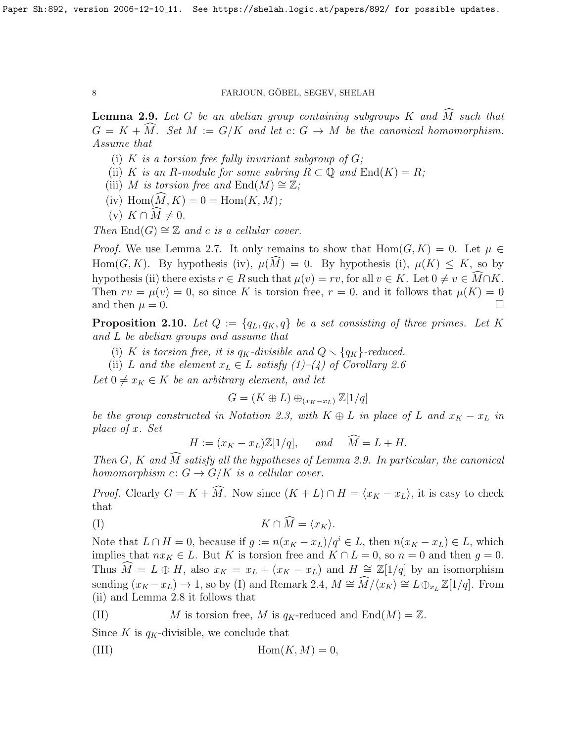<span id="page-7-0"></span>**Lemma 2.9.** Let G be an abelian group containing subgroups K and  $\widehat{M}$  such that  $G = K + \tilde{M}$ . Set  $M := G/K$  and let  $c: G \to M$  be the canonical homomorphism. Assume that

- (i) K is a torsion free fully invariant subgroup of  $G$ ;
- (ii) K is an R-module for some subring  $R \subset \mathbb{Q}$  and  $\text{End}(K) = R$ ;
- (iii) M is torsion free and  $\text{End}(M) \cong \mathbb{Z}$ ;
- (iv)  $\text{Hom}(\overline{M}, K) = 0 = \text{Hom}(K, M);$
- (v)  $K \cap \widehat{M} \neq 0$ .

Then  $\text{End}(G) \cong \mathbb{Z}$  and c is a cellular cover.

*Proof.* We use Lemma [2.7.](#page-6-1) It only remains to show that  $Hom(G, K) = 0$ . Let  $\mu \in$ Hom $(G, K)$ . By hypothesis (iv),  $\mu(\widehat{M}) = 0$ . By hypothesis (i),  $\mu(K) \leq K$ , so by hypothesis (ii) there exists  $r \in R$  such that  $\mu(v) = rv$ , for all  $v \in K$ . Let  $0 \neq v \in \widehat{M} \cap K$ . Then  $rv = \mu(v) = 0$ , so since K is torsion free,  $r = 0$ , and it follows that  $\mu(K) = 0$ and then  $\mu = 0$ .

<span id="page-7-1"></span>**Proposition 2.10.** Let  $Q := \{q_L, q_K, q\}$  be a set consisting of three primes. Let K and L be abelian groups and assume that

- (i) K is torsion free, it is  $q_K$ -divisible and  $Q \setminus \{q_K\}$ -reduced.
- (ii) L and the element  $x_L \in L$  satisfy  $(1)$ – $(4)$  of Corollary [2.6](#page-5-0)

Let  $0 \neq x_K \in K$  be an arbitrary element, and let

$$
G = (K \oplus L) \oplus_{(x_K - x_L)} \mathbb{Z}[1/q]
$$

be the group constructed in Notation [2.3,](#page-4-1) with  $K \oplus L$  in place of L and  $x_K - x_L$  in place of x. Set

 $H := (x_K - x_L) \mathbb{Z}[1/q], \quad \text{and} \quad \widehat{M} = L + H.$ 

Then G, K and  $\widehat{M}$  satisfy all the hypotheses of Lemma [2.9.](#page-7-0) In particular, the canonical homomorphism  $c: G \to G/K$  is a cellular cover.

*Proof.* Clearly  $G = K + \widehat{M}$ . Now since  $(K + L) \cap H = \langle x_K - x_L \rangle$ , it is easy to check that

$$
(I) \t K \cap \widetilde{M} = \langle x_K \rangle.
$$

Note that  $L \cap H = 0$ , because if  $g := n(x_K - x_L)/q^i \in L$ , then  $n(x_K - x_L) \in L$ , which implies that  $nx_K \in L$ . But K is torsion free and  $K \cap L = 0$ , so  $n = 0$  and then  $g = 0$ . Thus  $\widetilde{M} = L \oplus H$ , also  $x_K = x_L + (x_K - x_L)$  and  $H \cong \mathbb{Z}[1/q]$  by an isomorphism sending  $(x_K - x_L) \to 1$ , so by (I) and Remark [2.4,](#page-4-2)  $M \cong \widehat{M}/\langle x_K \rangle \cong L \oplus_{x_L} \mathbb{Z}[1/q]$ . From (ii) and Lemma [2.8](#page-6-0) it follows that

(II) M is torsion free, M is  $q_K$ -reduced and  $\text{End}(M) = \mathbb{Z}$ .

Since K is  $q_K$ -divisible, we conclude that

(III) 
$$
\text{Hom}(K, M) = 0,
$$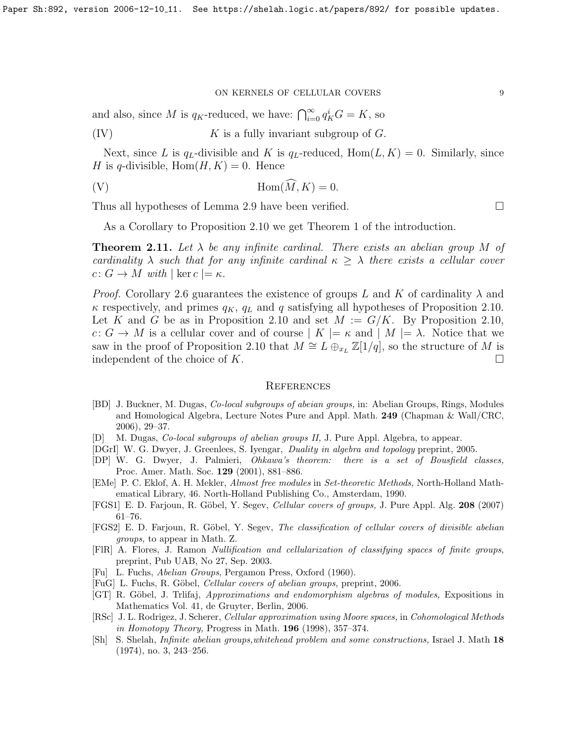#### ON KERNELS OF CELLULAR COVERS  $\hfill 9$

and also, since M is  $q_K$ -reduced, we have:  $\bigcap_{i=0}^{\infty} q_K^i G = K$ , so

(IV)  $K$  is a fully invariant subgroup of  $G$ .

Next, since L is  $q_L$ -divisible and K is  $q_L$ -reduced,  $Hom(L, K) = 0$ . Similarly, since H is q-divisible,  $Hom(H, K) = 0$ . Hence

(V)  $\text{Hom}(\widehat{M}, K) = 0.$ 

Thus all hypotheses of Lemma [2.9](#page-7-0) have been verified.

As a Corollary to Proposition [2.10](#page-7-1) we get Theorem 1 of the introduction.

<span id="page-8-6"></span>**Theorem 2.11.** Let  $\lambda$  be any infinite cardinal. There exists an abelian group M of cardinality  $\lambda$  such that for any infinite cardinal  $\kappa \geq \lambda$  there exists a cellular cover  $c: G \to M$  with  $|\ker c| = \kappa$ .

*Proof.* Corollary [2.6](#page-5-0) guarantees the existence of groups L and K of cardinality  $\lambda$  and  $\kappa$  respectively, and primes  $q_K$ ,  $q_L$  and q satisfying all hypotheses of Proposition [2.10.](#page-7-1) Let K and G be as in Proposition [2.10](#page-7-1) and set  $M := G/K$ . By Proposition [2.10,](#page-7-1)  $c: G \to M$  is a cellular cover and of course  $|K| = \kappa$  and  $|M| = \lambda$ . Notice that we saw in the proof of Proposition [2.10](#page-7-1) that  $M \cong L \bigoplus_{x_L} \mathbb{Z}[1/q]$ , so the structure of M is independent of the choice of K.  $\Box$ 

## **REFERENCES**

- <span id="page-8-7"></span>[BD] J. Buckner, M. Dugas, Co-local subgroups of abeian groups, in: Abelian Groups, Rings, Modules and Homological Algebra, Lecture Notes Pure and Appl. Math. 249 (Chapman & Wall/CRC, 2006), 29–37.
- <span id="page-8-8"></span>[D] M. Dugas, Co-local subgroups of abelian groups II, J. Pure Appl. Algebra, to appear.
- <span id="page-8-3"></span>[DGrI] W. G. Dwyer, J. Greenlees, S. Iyengar, Duality in algebra and topology preprint, 2005.
- <span id="page-8-5"></span>[DP] W. G. Dwyer, J. Palmieri, Ohkawa's theorem: there is a set of Bousfield classes, Proc. Amer. Math. Soc. 129 (2001), 881–886.
- <span id="page-8-10"></span>[EMe] P. C. Eklof, A. H. Mekler, Almost free modules in Set-theoretic Methods, North-Holland Mathematical Library, 46. North-Holland Publishing Co., Amsterdam, 1990.
- <span id="page-8-0"></span>[FGS1] E. D. Farjoun, R. Göbel, Y. Segev, Cellular covers of groups, J. Pure Appl. Alg. 208 (2007) 61–76.
- <span id="page-8-1"></span>[FGS2] E. D. Farjoun, R. Göbel, Y. Segev, The classification of cellular covers of divisible abelian groups, to appear in Math. Z.
- <span id="page-8-2"></span>[FlR] A. Flores, J. Ramon Nullification and cellularization of classifying spaces of finite groups, preprint, Pub UAB, No 27, Sep. 2003.
- <span id="page-8-11"></span>[Fu] L. Fuchs, Abelian Groups, Pergamon Press, Oxford (1960).
- <span id="page-8-9"></span>[FuG] L. Fuchs, R. Göbel, *Cellular covers of abelian groups*, preprint, 2006.
- <span id="page-8-13"></span>[GT] R. Göbel, J. Trlifaj, *Approximations and endomorphism algebras of modules*, Expositions in Mathematics Vol. 41, de Gruyter, Berlin, 2006.
- <span id="page-8-4"></span>[RSc] J. L. Rodrigez, J. Scherer, Cellular approximation using Moore spaces, in Cohomological Methods in Homotopy Theory, Progress in Math.  $196$  (1998), 357–374.
- <span id="page-8-12"></span>[Sh] S. Shelah, Infinite abelian groups,whitehead problem and some constructions, Israel J. Math 18 (1974), no. 3, 243–256.